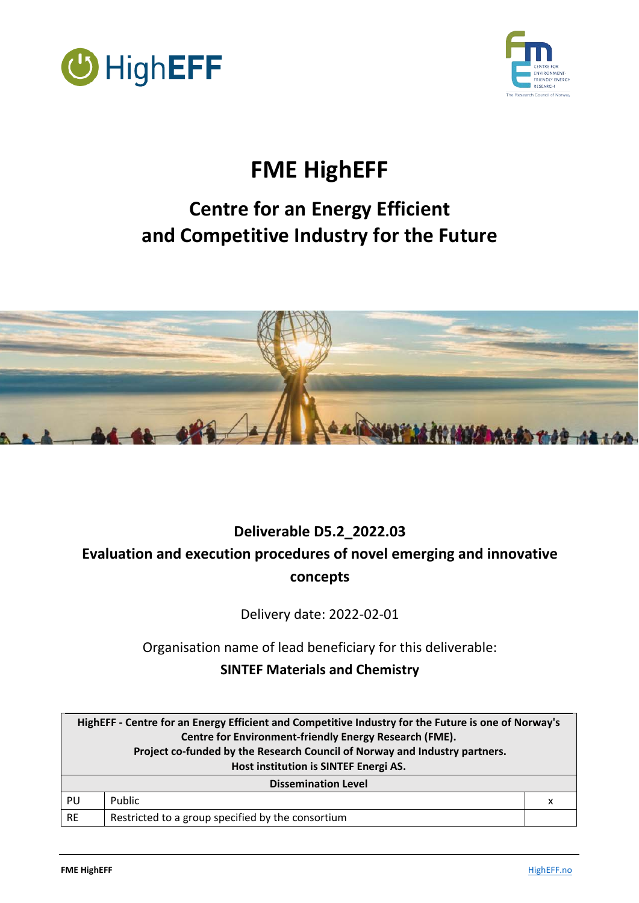



# **FME HighEFF**

# **Centre for an Energy Efficient and Competitive Industry for the Future**



# **Deliverable D5.2\_2022.03 Evaluation and execution procedures of novel emerging and innovative concepts**

Delivery date: 2022-02-01

Organisation name of lead beneficiary for this deliverable:

**SINTEF Materials and Chemistry**

| HighEFF - Centre for an Energy Efficient and Competitive Industry for the Future is one of Norway's<br>Centre for Environment-friendly Energy Research (FME).<br>Project co-funded by the Research Council of Norway and Industry partners.<br>Host institution is SINTEF Energi AS. |                                                   |   |  |  |
|--------------------------------------------------------------------------------------------------------------------------------------------------------------------------------------------------------------------------------------------------------------------------------------|---------------------------------------------------|---|--|--|
| <b>Dissemination Level</b>                                                                                                                                                                                                                                                           |                                                   |   |  |  |
| PU                                                                                                                                                                                                                                                                                   | Public                                            | х |  |  |
| <b>RE</b>                                                                                                                                                                                                                                                                            | Restricted to a group specified by the consortium |   |  |  |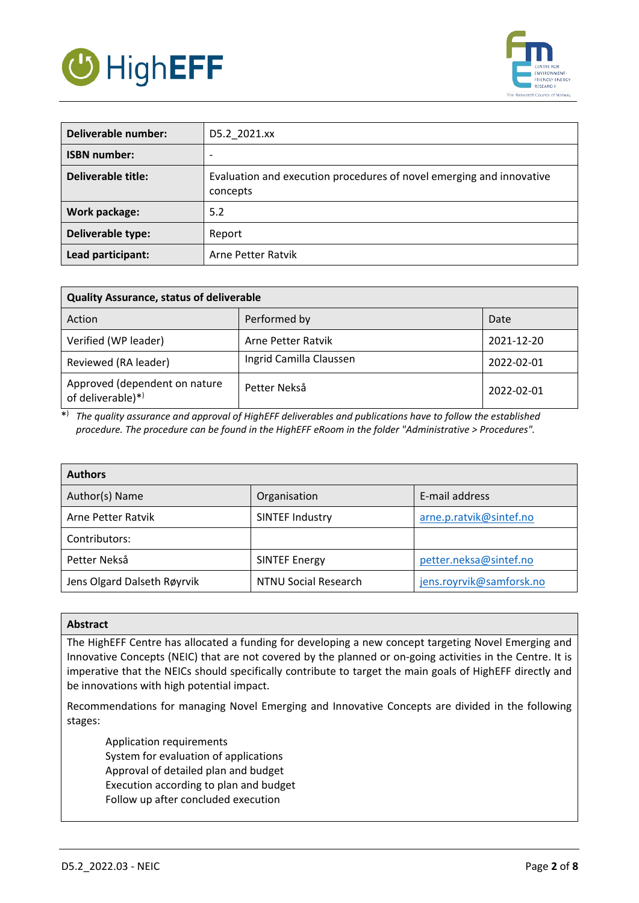



| Deliverable number: | D5.2 2021.xx                                                                     |
|---------------------|----------------------------------------------------------------------------------|
| <b>ISBN number:</b> | $\overline{\phantom{0}}$                                                         |
| Deliverable title:  | Evaluation and execution procedures of novel emerging and innovative<br>concepts |
| Work package:       | 5.2                                                                              |
| Deliverable type:   | Report                                                                           |
| Lead participant:   | Arne Petter Ratvik                                                               |

| <b>Quality Assurance, status of deliverable</b>    |                         |            |  |  |  |  |
|----------------------------------------------------|-------------------------|------------|--|--|--|--|
| Action                                             | Performed by            | Date       |  |  |  |  |
| Verified (WP leader)                               | Arne Petter Ratvik      | 2021-12-20 |  |  |  |  |
| Reviewed (RA leader)                               | Ingrid Camilla Claussen | 2022-02-01 |  |  |  |  |
| Approved (dependent on nature<br>of deliverable)*) | Petter Nekså            | 2022-02-01 |  |  |  |  |

\*) *The quality assurance and approval of HighEFF deliverables and publications have to follow the established procedure. The procedure can be found in the HighEFF eRoom in the folder "Administrative > Procedures".*

| <b>Authors</b>              |                             |                          |  |  |  |  |
|-----------------------------|-----------------------------|--------------------------|--|--|--|--|
| Author(s) Name              | Organisation                | E-mail address           |  |  |  |  |
| Arne Petter Ratvik          | <b>SINTEF Industry</b>      | arne.p.ratvik@sintef.no  |  |  |  |  |
| Contributors:               |                             |                          |  |  |  |  |
| Petter Nekså                | <b>SINTEF Energy</b>        | petter.neksa@sintef.no   |  |  |  |  |
| Jens Olgard Dalseth Røyrvik | <b>NTNU Social Research</b> | jens.royrvik@samforsk.no |  |  |  |  |

#### **Abstract**

The HighEFF Centre has allocated a funding for developing a new concept targeting Novel Emerging and Innovative Concepts (NEIC) that are not covered by the planned or on-going activities in the Centre. It is imperative that the NEICs should specifically contribute to target the main goals of HighEFF directly and be innovations with high potential impact.

Recommendations for managing Novel Emerging and Innovative Concepts are divided in the following stages:

Application requirements System for evaluation of applications Approval of detailed plan and budget Execution according to plan and budget Follow up after concluded execution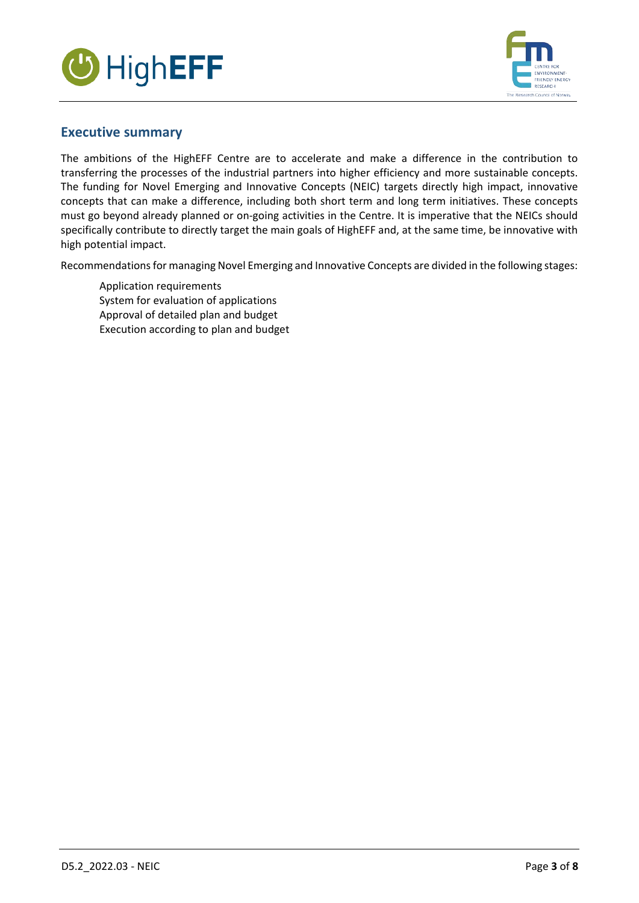



# **Executive summary**

The ambitions of the HighEFF Centre are to accelerate and make a difference in the contribution to transferring the processes of the industrial partners into higher efficiency and more sustainable concepts. The funding for Novel Emerging and Innovative Concepts (NEIC) targets directly high impact, innovative concepts that can make a difference, including both short term and long term initiatives. These concepts must go beyond already planned or on-going activities in the Centre. It is imperative that the NEICs should specifically contribute to directly target the main goals of HighEFF and, at the same time, be innovative with high potential impact.

Recommendations for managing Novel Emerging and Innovative Concepts are divided in the following stages:

Application requirements System for evaluation of applications Approval of detailed plan and budget Execution according to plan and budget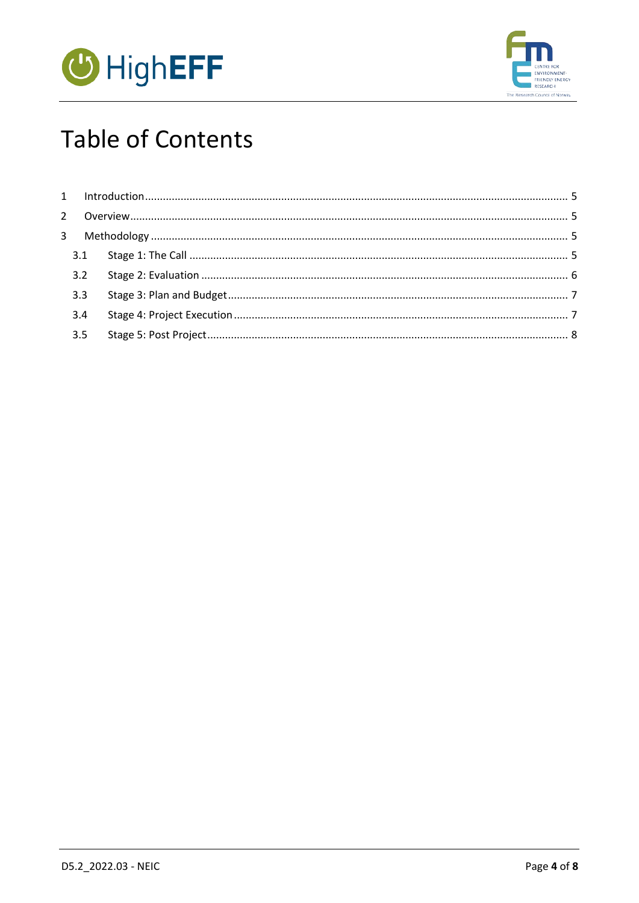



# **Table of Contents**

| 3.2 |  |
|-----|--|
| 3.3 |  |
| 3.4 |  |
| 3.5 |  |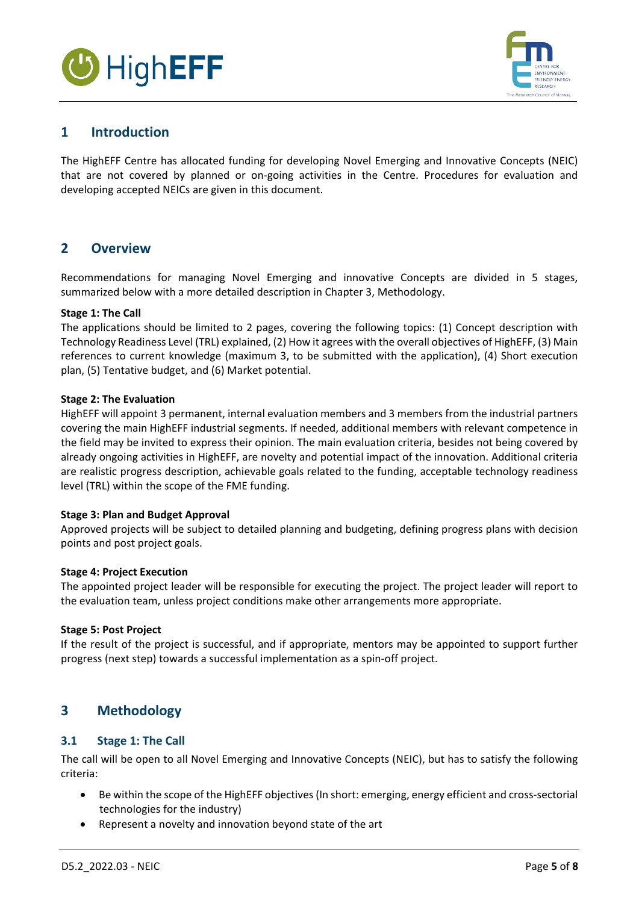



# <span id="page-4-0"></span>**1 Introduction**

The HighEFF Centre has allocated funding for developing Novel Emerging and Innovative Concepts (NEIC) that are not covered by planned or on-going activities in the Centre. Procedures for evaluation and developing accepted NEICs are given in this document.

# <span id="page-4-1"></span>**2 Overview**

Recommendations for managing Novel Emerging and innovative Concepts are divided in 5 stages, summarized below with a more detailed description in Chapter 3, Methodology.

#### **Stage 1: The Call**

The applications should be limited to 2 pages, covering the following topics: (1) Concept description with Technology Readiness Level (TRL) explained, (2) How it agrees with the overall objectives of HighEFF, (3) Main references to current knowledge (maximum 3, to be submitted with the application), (4) Short execution plan, (5) Tentative budget, and (6) Market potential.

#### **Stage 2: The Evaluation**

HighEFF will appoint 3 permanent, internal evaluation members and 3 members from the industrial partners covering the main HighEFF industrial segments. If needed, additional members with relevant competence in the field may be invited to express their opinion. The main evaluation criteria, besides not being covered by already ongoing activities in HighEFF, are novelty and potential impact of the innovation. Additional criteria are realistic progress description, achievable goals related to the funding, acceptable technology readiness level (TRL) within the scope of the FME funding.

#### **Stage 3: Plan and Budget Approval**

Approved projects will be subject to detailed planning and budgeting, defining progress plans with decision points and post project goals.

#### **Stage 4: Project Execution**

The appointed project leader will be responsible for executing the project. The project leader will report to the evaluation team, unless project conditions make other arrangements more appropriate.

#### **Stage 5: Post Project**

If the result of the project is successful, and if appropriate, mentors may be appointed to support further progress (next step) towards a successful implementation as a spin-off project.

# <span id="page-4-2"></span>**3 Methodology**

#### <span id="page-4-3"></span>**3.1 Stage 1: The Call**

The call will be open to all Novel Emerging and Innovative Concepts (NEIC), but has to satisfy the following criteria:

- Be within the scope of the HighEFF objectives (In short: emerging, energy efficient and cross-sectorial technologies for the industry)
- Represent a novelty and innovation beyond state of the art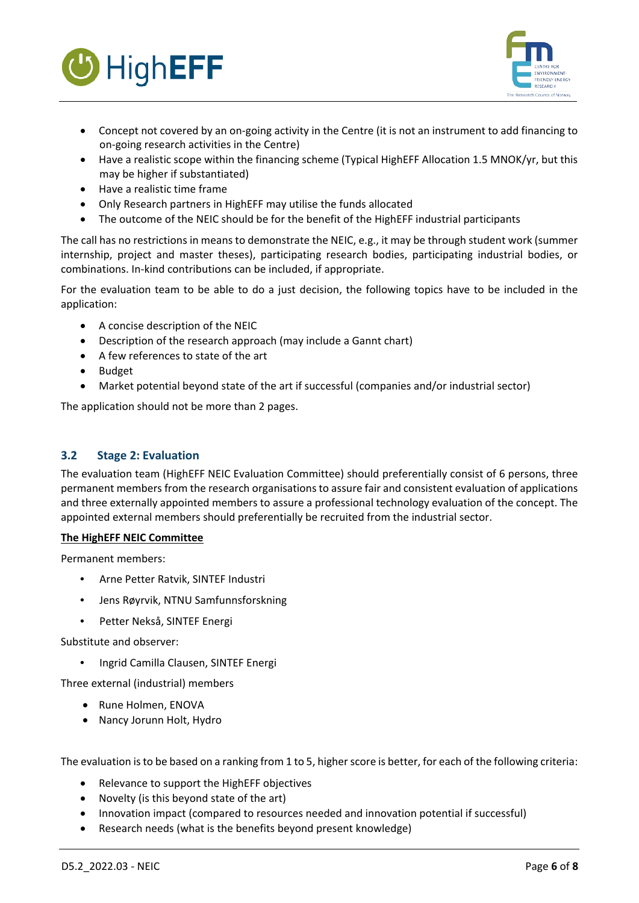



- Concept not covered by an on-going activity in the Centre (it is not an instrument to add financing to on-going research activities in the Centre)
- Have a realistic scope within the financing scheme (Typical HighEFF Allocation 1.5 MNOK/yr, but this may be higher if substantiated)
- Have a realistic time frame
- Only Research partners in HighEFF may utilise the funds allocated
- The outcome of the NEIC should be for the benefit of the HighEFF industrial participants

The call has no restrictions in means to demonstrate the NEIC, e.g., it may be through student work (summer internship, project and master theses), participating research bodies, participating industrial bodies, or combinations. In-kind contributions can be included, if appropriate.

For the evaluation team to be able to do a just decision, the following topics have to be included in the application:

- A concise description of the NEIC
- Description of the research approach (may include a Gannt chart)
- A few references to state of the art
- Budget
- Market potential beyond state of the art if successful (companies and/or industrial sector)

The application should not be more than 2 pages.

## <span id="page-5-0"></span>**3.2 Stage 2: Evaluation**

The evaluation team (HighEFF NEIC Evaluation Committee) should preferentially consist of 6 persons, three permanent members from the research organisations to assure fair and consistent evaluation of applications and three externally appointed members to assure a professional technology evaluation of the concept. The appointed external members should preferentially be recruited from the industrial sector.

#### **The HighEFF NEIC Committee**

Permanent members:

- Arne Petter Ratvik, SINTEF Industri
- Jens Røyrvik, NTNU Samfunnsforskning
- Petter Nekså, SINTEF Energi

Substitute and observer:

• Ingrid Camilla Clausen, SINTEF Energi

Three external (industrial) members

- Rune Holmen, ENOVA
- Nancy Jorunn Holt, Hydro

The evaluation is to be based on a ranking from 1 to 5, higher score is better, for each of the following criteria:

- Relevance to support the HighEFF objectives
- Novelty (is this beyond state of the art)
- Innovation impact (compared to resources needed and innovation potential if successful)
- Research needs (what is the benefits beyond present knowledge)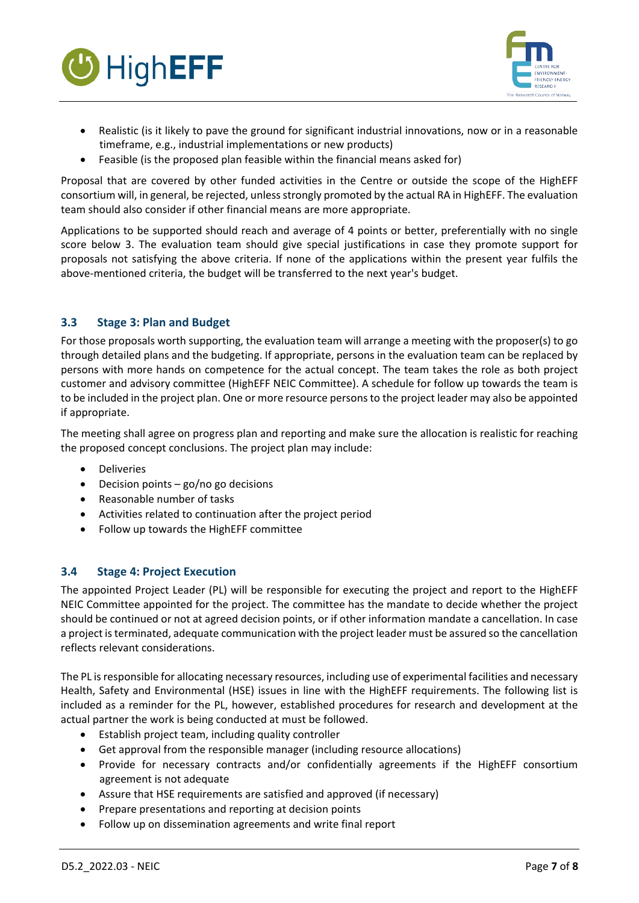



- Realistic (is it likely to pave the ground for significant industrial innovations, now or in a reasonable timeframe, e.g., industrial implementations or new products)
- Feasible (is the proposed plan feasible within the financial means asked for)

Proposal that are covered by other funded activities in the Centre or outside the scope of the HighEFF consortium will, in general, be rejected, unless strongly promoted by the actual RA in HighEFF. The evaluation team should also consider if other financial means are more appropriate.

Applications to be supported should reach and average of 4 points or better, preferentially with no single score below 3. The evaluation team should give special justifications in case they promote support for proposals not satisfying the above criteria. If none of the applications within the present year fulfils the above-mentioned criteria, the budget will be transferred to the next year's budget.

### <span id="page-6-0"></span>**3.3 Stage 3: Plan and Budget**

For those proposals worth supporting, the evaluation team will arrange a meeting with the proposer(s) to go through detailed plans and the budgeting. If appropriate, persons in the evaluation team can be replaced by persons with more hands on competence for the actual concept. The team takes the role as both project customer and advisory committee (HighEFF NEIC Committee). A schedule for follow up towards the team is to be included in the project plan. One or more resource persons to the project leader may also be appointed if appropriate.

The meeting shall agree on progress plan and reporting and make sure the allocation is realistic for reaching the proposed concept conclusions. The project plan may include:

- Deliveries
- Decision points go/no go decisions
- Reasonable number of tasks
- Activities related to continuation after the project period
- Follow up towards the HighEFF committee

### <span id="page-6-1"></span>**3.4 Stage 4: Project Execution**

The appointed Project Leader (PL) will be responsible for executing the project and report to the HighEFF NEIC Committee appointed for the project. The committee has the mandate to decide whether the project should be continued or not at agreed decision points, or if other information mandate a cancellation. In case a project is terminated, adequate communication with the project leader must be assured so the cancellation reflects relevant considerations.

The PL is responsible for allocating necessary resources, including use of experimental facilities and necessary Health, Safety and Environmental (HSE) issues in line with the HighEFF requirements. The following list is included as a reminder for the PL, however, established procedures for research and development at the actual partner the work is being conducted at must be followed.

- Establish project team, including quality controller
- Get approval from the responsible manager (including resource allocations)
- Provide for necessary contracts and/or confidentially agreements if the HighEFF consortium agreement is not adequate
- Assure that HSE requirements are satisfied and approved (if necessary)
- Prepare presentations and reporting at decision points
- Follow up on dissemination agreements and write final report